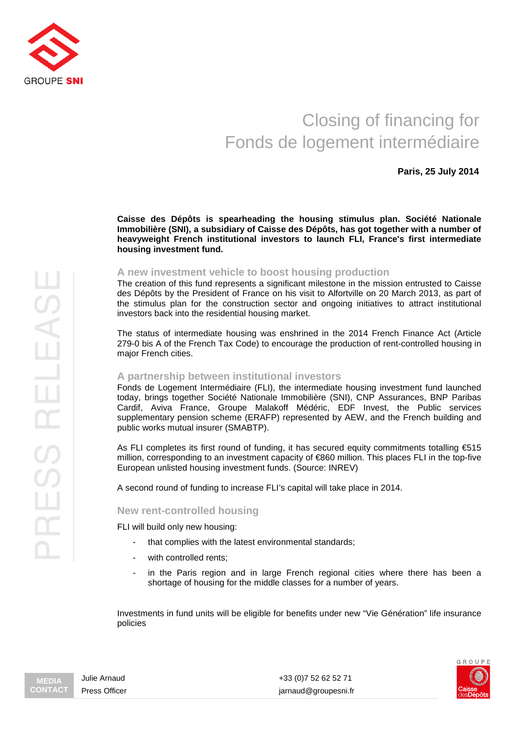

# Closing of financing for Fonds de logement intermédiaire

## **Paris, 25 July 2014**

**Caisse des Dépôts is spearheading the housing stimulus plan. Société Nationale Immobilière (SNI), a subsidiary of Caisse des Dépôts, has got together with a number of heavyweight French institutional investors to launch FLI, France's first intermediate housing investment fund.** 

#### **A new investment vehicle to boost housing production**

The creation of this fund represents a significant milestone in the mission entrusted to Caisse des Dépôts by the President of France on his visit to Alfortville on 20 March 2013, as part of the stimulus plan for the construction sector and ongoing initiatives to attract institutional investors back into the residential housing market.

The status of intermediate housing was enshrined in the 2014 French Finance Act (Article 279-0 bis A of the French Tax Code) to encourage the production of rent-controlled housing in major French cities.

## **A partnership between institutional investors**

Fonds de Logement Intermédiaire (FLI), the intermediate housing investment fund launched today, brings together Société Nationale Immobilière (SNI), CNP Assurances, BNP Paribas Cardif, Aviva France, Groupe Malakoff Médéric, EDF Invest, the Public services supplementary pension scheme (ERAFP) represented by AEW, and the French building and public works mutual insurer (SMABTP).

As FLI completes its first round of funding, it has secured equity commitments totalling  $\epsilon$ 515 million, corresponding to an investment capacity of €860 million. This places FLI in the top-five European unlisted housing investment funds. (Source: INREV)

A second round of funding to increase FLI's capital will take place in 2014.

#### **New rent-controlled housing**

FLI will build only new housing:

- that complies with the latest environmental standards:
- with controlled rents;
- in the Paris region and in large French regional cities where there has been a shortage of housing for the middle classes for a number of years.

Investments in fund units will be eligible for benefits under new "Vie Génération" life insurance policies



**CONTACT** 

**MEDIA**